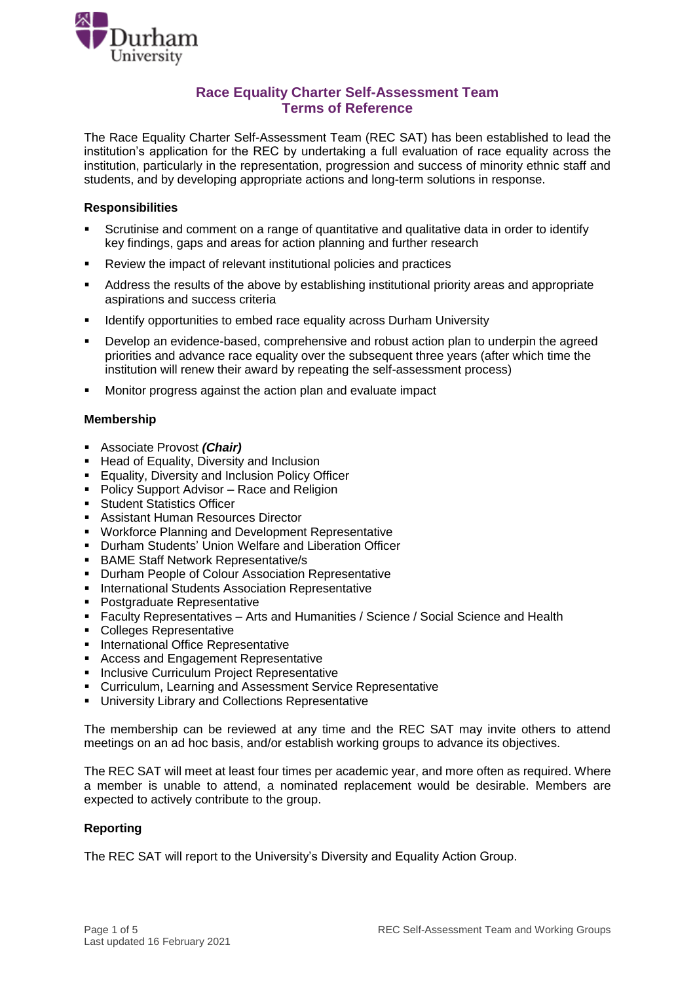

### **Race Equality Charter Self-Assessment Team Terms of Reference**

The Race Equality Charter Self-Assessment Team (REC SAT) has been established to lead the institution's application for the REC by undertaking a full evaluation of race equality across the institution, particularly in the representation, progression and success of minority ethnic staff and students, and by developing appropriate actions and long-term solutions in response.

#### **Responsibilities**

- Scrutinise and comment on a range of quantitative and qualitative data in order to identify key findings, gaps and areas for action planning and further research
- Review the impact of relevant institutional policies and practices
- Address the results of the above by establishing institutional priority areas and appropriate aspirations and success criteria
- **IDENTIFY Identify opportunities to embed race equality across Durham University**
- Develop an evidence-based, comprehensive and robust action plan to underpin the agreed priorities and advance race equality over the subsequent three years (after which time the institution will renew their award by repeating the self-assessment process)
- Monitor progress against the action plan and evaluate impact

#### **Membership**

- Associate Provost *(Chair)*
- Head of Equality, Diversity and Inclusion
- **Equality, Diversity and Inclusion Policy Officer**
- **Policy Support Advisor Race and Religion**
- **Student Statistics Officer**
- Assistant Human Resources Director
- **Workforce Planning and Development Representative**
- Durham Students' Union Welfare and Liberation Officer
- BAME Staff Network Representative/s
- **Durham People of Colour Association Representative**
- **International Students Association Representative**
- **Postgraduate Representative**
- **Faculty Representatives Arts and Humanities / Science / Social Science and Health**
- **Colleges Representative**
- **International Office Representative**
- **Access and Engagement Representative**
- **Inclusive Curriculum Project Representative**
- Curriculum, Learning and Assessment Service Representative
- University Library and Collections Representative

The membership can be reviewed at any time and the REC SAT may invite others to attend meetings on an ad hoc basis, and/or establish working groups to advance its objectives.

The REC SAT will meet at least four times per academic year, and more often as required. Where a member is unable to attend, a nominated replacement would be desirable. Members are expected to actively contribute to the group.

#### **Reporting**

The REC SAT will report to the University's Diversity and Equality Action Group.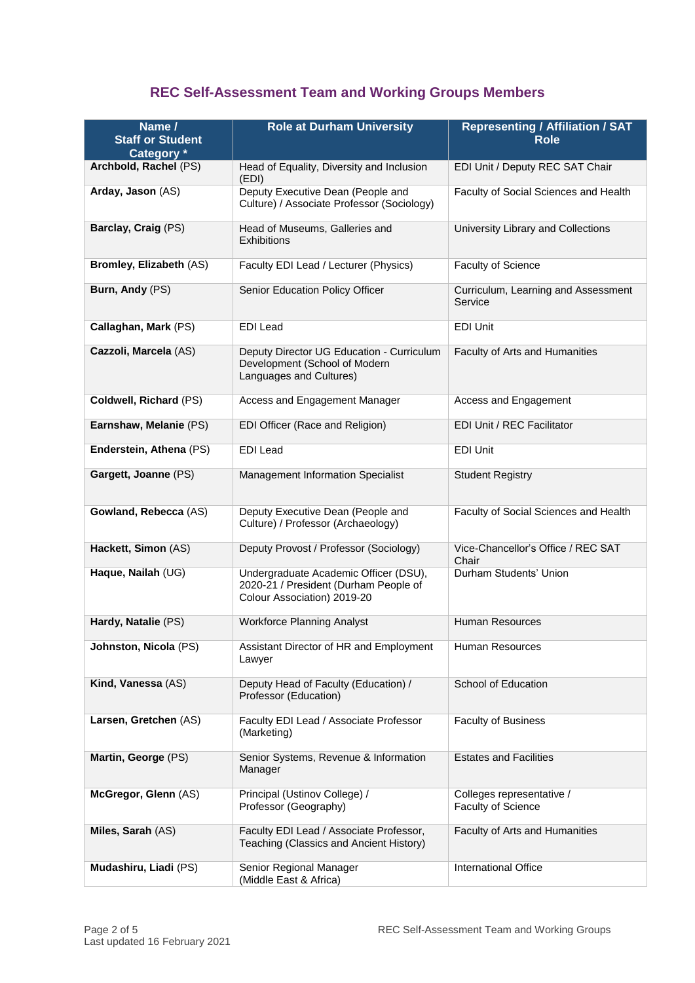# **REC Self-Assessment Team and Working Groups Members**

| <b>Role at Durham University</b><br>Name /<br><b>Staff or Student</b><br>Category * |                                                                                                               | <b>Representing / Affiliation / SAT</b><br><b>Role</b> |  |
|-------------------------------------------------------------------------------------|---------------------------------------------------------------------------------------------------------------|--------------------------------------------------------|--|
| Archbold, Rachel (PS)                                                               | Head of Equality, Diversity and Inclusion<br>(EDI)                                                            | EDI Unit / Deputy REC SAT Chair                        |  |
| Arday, Jason (AS)                                                                   | Deputy Executive Dean (People and<br>Culture) / Associate Professor (Sociology)                               | Faculty of Social Sciences and Health                  |  |
| Barclay, Craig (PS)                                                                 | Head of Museums, Galleries and<br><b>Exhibitions</b>                                                          | University Library and Collections                     |  |
| Bromley, Elizabeth (AS)                                                             | Faculty EDI Lead / Lecturer (Physics)                                                                         | Faculty of Science                                     |  |
| Burn, Andy (PS)                                                                     | Senior Education Policy Officer                                                                               | Curriculum, Learning and Assessment<br>Service         |  |
| Callaghan, Mark (PS)                                                                | <b>EDI</b> Lead                                                                                               | EDI Unit                                               |  |
| Cazzoli, Marcela (AS)                                                               | Deputy Director UG Education - Curriculum<br>Development (School of Modern<br>Languages and Cultures)         | Faculty of Arts and Humanities                         |  |
| Coldwell, Richard (PS)                                                              | Access and Engagement Manager                                                                                 | Access and Engagement                                  |  |
| Earnshaw, Melanie (PS)                                                              | EDI Officer (Race and Religion)                                                                               | EDI Unit / REC Facilitator                             |  |
| Enderstein, Athena (PS)                                                             | <b>EDI</b> Lead                                                                                               | EDI Unit                                               |  |
| Gargett, Joanne (PS)                                                                | Management Information Specialist                                                                             | <b>Student Registry</b>                                |  |
| Gowland, Rebecca (AS)                                                               | Deputy Executive Dean (People and<br>Culture) / Professor (Archaeology)                                       | Faculty of Social Sciences and Health                  |  |
| Hackett, Simon (AS)                                                                 | Deputy Provost / Professor (Sociology)                                                                        | Vice-Chancellor's Office / REC SAT<br>Chair            |  |
| Haque, Nailah (UG)                                                                  | Undergraduate Academic Officer (DSU),<br>2020-21 / President (Durham People of<br>Colour Association) 2019-20 | Durham Students' Union                                 |  |
| Hardy, Natalie (PS)                                                                 | <b>Workforce Planning Analyst</b>                                                                             | <b>Human Resources</b>                                 |  |
| Johnston, Nicola (PS)                                                               | Assistant Director of HR and Employment<br>Lawyer                                                             | Human Resources                                        |  |
| Kind, Vanessa (AS)                                                                  | Deputy Head of Faculty (Education) /<br>Professor (Education)                                                 | School of Education                                    |  |
| Larsen, Gretchen (AS)                                                               | Faculty EDI Lead / Associate Professor<br>(Marketing)                                                         | <b>Faculty of Business</b>                             |  |
| Martin, George (PS)                                                                 | Senior Systems, Revenue & Information<br>Manager                                                              | <b>Estates and Facilities</b>                          |  |
| McGregor, Glenn (AS)                                                                | Principal (Ustinov College) /<br>Professor (Geography)                                                        | Colleges representative /<br>Faculty of Science        |  |
| Miles, Sarah (AS)                                                                   | Faculty EDI Lead / Associate Professor,<br>Teaching (Classics and Ancient History)                            | Faculty of Arts and Humanities                         |  |
| Mudashiru, Liadi (PS)                                                               | Senior Regional Manager<br>(Middle East & Africa)                                                             | International Office                                   |  |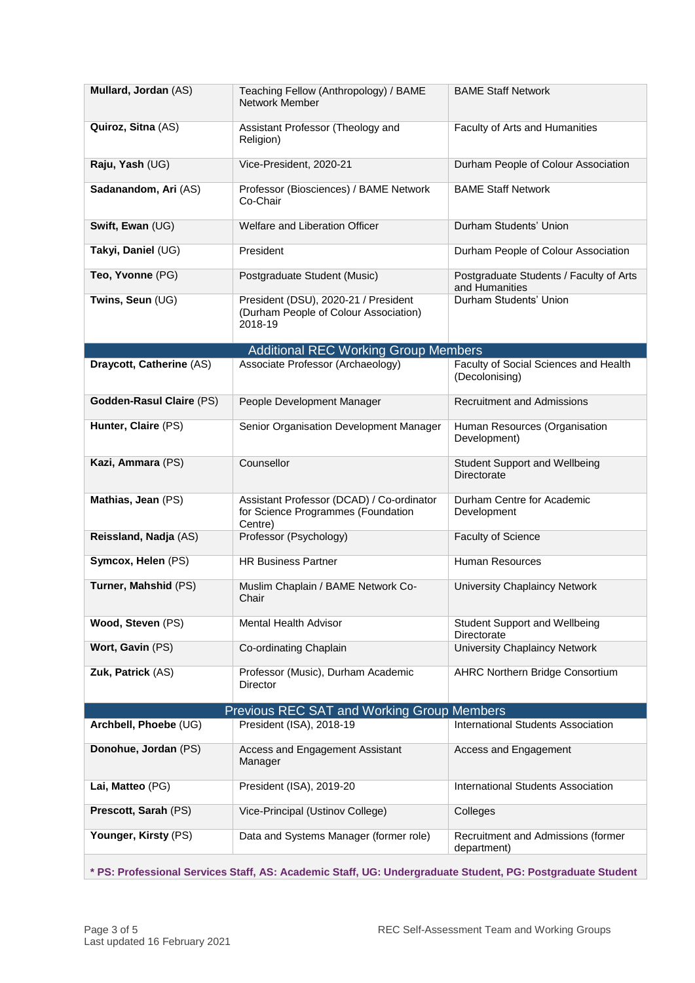| Mullard, Jordan (AS)            | Teaching Fellow (Anthropology) / BAME<br>Network Member                                    | <b>BAME Staff Network</b>                                 |
|---------------------------------|--------------------------------------------------------------------------------------------|-----------------------------------------------------------|
| Quiroz, Sitna (AS)              | Assistant Professor (Theology and<br>Religion)                                             | Faculty of Arts and Humanities                            |
| Raju, Yash (UG)                 | Vice-President, 2020-21                                                                    | Durham People of Colour Association                       |
| Sadanandom, Ari (AS)            | Professor (Biosciences) / BAME Network<br>Co-Chair                                         | <b>BAME Staff Network</b>                                 |
| Swift, Ewan (UG)                | Welfare and Liberation Officer                                                             | Durham Students' Union                                    |
| Takyi, Daniel (UG)              | President                                                                                  | Durham People of Colour Association                       |
| Teo, Yvonne (PG)                | Postgraduate Student (Music)                                                               | Postgraduate Students / Faculty of Arts<br>and Humanities |
| Twins, Seun (UG)                | President (DSU), 2020-21 / President<br>(Durham People of Colour Association)<br>2018-19   | Durham Students' Union                                    |
|                                 | <b>Additional REC Working Group Members</b>                                                |                                                           |
| Draycott, Catherine (AS)        | Associate Professor (Archaeology)                                                          | Faculty of Social Sciences and Health<br>(Decolonising)   |
| <b>Godden-Rasul Claire (PS)</b> | People Development Manager                                                                 | <b>Recruitment and Admissions</b>                         |
| Hunter, Claire (PS)             | Senior Organisation Development Manager                                                    | Human Resources (Organisation<br>Development)             |
| Kazi, Ammara (PS)               | Counsellor                                                                                 | <b>Student Support and Wellbeing</b><br>Directorate       |
| Mathias, Jean (PS)              | Assistant Professor (DCAD) / Co-ordinator<br>for Science Programmes (Foundation<br>Centre) | Durham Centre for Academic<br>Development                 |
| Reissland, Nadja (AS)           | Professor (Psychology)                                                                     | <b>Faculty of Science</b>                                 |
| Symcox, Helen (PS)              | <b>HR Business Partner</b>                                                                 | Human Resources                                           |
| Turner, Mahshid (PS)            | Muslim Chaplain / BAME Network Co-<br>Chair                                                | University Chaplaincy Network                             |
| Wood, Steven (PS)               | <b>Mental Health Advisor</b>                                                               | <b>Student Support and Wellbeing</b><br>Directorate       |
| Wort, Gavin (PS)                | Co-ordinating Chaplain                                                                     | University Chaplaincy Network                             |
| Zuk, Patrick (AS)               | Professor (Music), Durham Academic<br><b>Director</b>                                      | <b>AHRC Northern Bridge Consortium</b>                    |
|                                 | Previous REC SAT and Working Group Members                                                 |                                                           |
| Archbell, Phoebe (UG)           | President (ISA), 2018-19                                                                   | International Students Association                        |
| Donohue, Jordan (PS)            | Access and Engagement Assistant<br>Manager                                                 | Access and Engagement                                     |
| Lai, Matteo (PG)                | President (ISA), 2019-20                                                                   | International Students Association                        |
| Prescott, Sarah (PS)            | Vice-Principal (Ustinov College)                                                           | Colleges                                                  |
| Younger, Kirsty (PS)            | Data and Systems Manager (former role)                                                     | Recruitment and Admissions (former<br>department)         |

**\* PS: Professional Services Staff, AS: Academic Staff, UG: Undergraduate Student, PG: Postgraduate Student**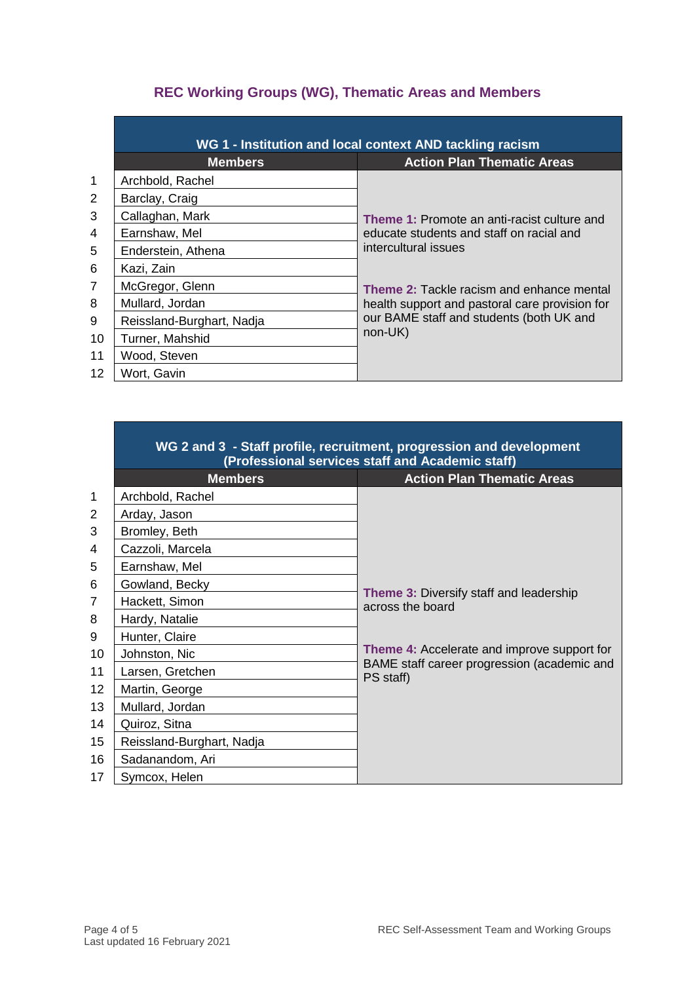## **REC Working Groups (WG), Thematic Areas and Members**

|                | WG 1 - Institution and local context AND tackling racism |                                                    |  |
|----------------|----------------------------------------------------------|----------------------------------------------------|--|
|                | <b>Members</b>                                           | <b>Action Plan Thematic Areas</b>                  |  |
| $\mathbf{1}$   | Archbold, Rachel                                         |                                                    |  |
| 2              | Barclay, Craig                                           |                                                    |  |
| 3              | Callaghan, Mark                                          | <b>Theme 1: Promote an anti-racist culture and</b> |  |
| 4              | Earnshaw, Mel                                            | educate students and staff on racial and           |  |
| 5              | Enderstein, Athena                                       | intercultural issues                               |  |
| 6              | Kazi, Zain                                               |                                                    |  |
| $\overline{7}$ | McGregor, Glenn                                          | <b>Theme 2: Tackle racism and enhance mental</b>   |  |
| 8              | Mullard, Jordan                                          | health support and pastoral care provision for     |  |
| 9              | Reissland-Burghart, Nadja                                | our BAME staff and students (both UK and           |  |
| 10             | Turner, Mahshid                                          | $non-UK)$                                          |  |
| 11             | Wood, Steven                                             |                                                    |  |
| 12             | Wort, Gavin                                              |                                                    |  |

|                | WG 2 and 3 - Staff profile, recruitment, progression and development<br>(Professional services staff and Academic staff) |                                                                    |  |
|----------------|--------------------------------------------------------------------------------------------------------------------------|--------------------------------------------------------------------|--|
|                | <b>Members</b>                                                                                                           | <b>Action Plan Thematic Areas</b>                                  |  |
| $\mathbf{1}$   | Archbold, Rachel                                                                                                         |                                                                    |  |
| 2              | Arday, Jason                                                                                                             |                                                                    |  |
| 3              | Bromley, Beth                                                                                                            |                                                                    |  |
| 4              | Cazzoli, Marcela                                                                                                         |                                                                    |  |
| 5              | Earnshaw, Mel                                                                                                            |                                                                    |  |
| 6              | Gowland, Becky                                                                                                           |                                                                    |  |
| $\overline{7}$ | Hackett, Simon                                                                                                           | <b>Theme 3: Diversify staff and leadership</b><br>across the board |  |
| 8              | Hardy, Natalie                                                                                                           |                                                                    |  |
| 9              | Hunter, Claire                                                                                                           |                                                                    |  |
| 10             | Johnston, Nic                                                                                                            | <b>Theme 4:</b> Accelerate and improve support for                 |  |
| 11             | Larsen, Gretchen                                                                                                         | BAME staff career progression (academic and<br>PS staff)           |  |
| 12             | Martin, George                                                                                                           |                                                                    |  |
| 13             | Mullard, Jordan                                                                                                          |                                                                    |  |
| 14             | Quiroz, Sitna                                                                                                            |                                                                    |  |
| 15             | Reissland-Burghart, Nadja                                                                                                |                                                                    |  |
| 16             | Sadanandom, Ari                                                                                                          |                                                                    |  |
| 17             | Symcox, Helen                                                                                                            |                                                                    |  |